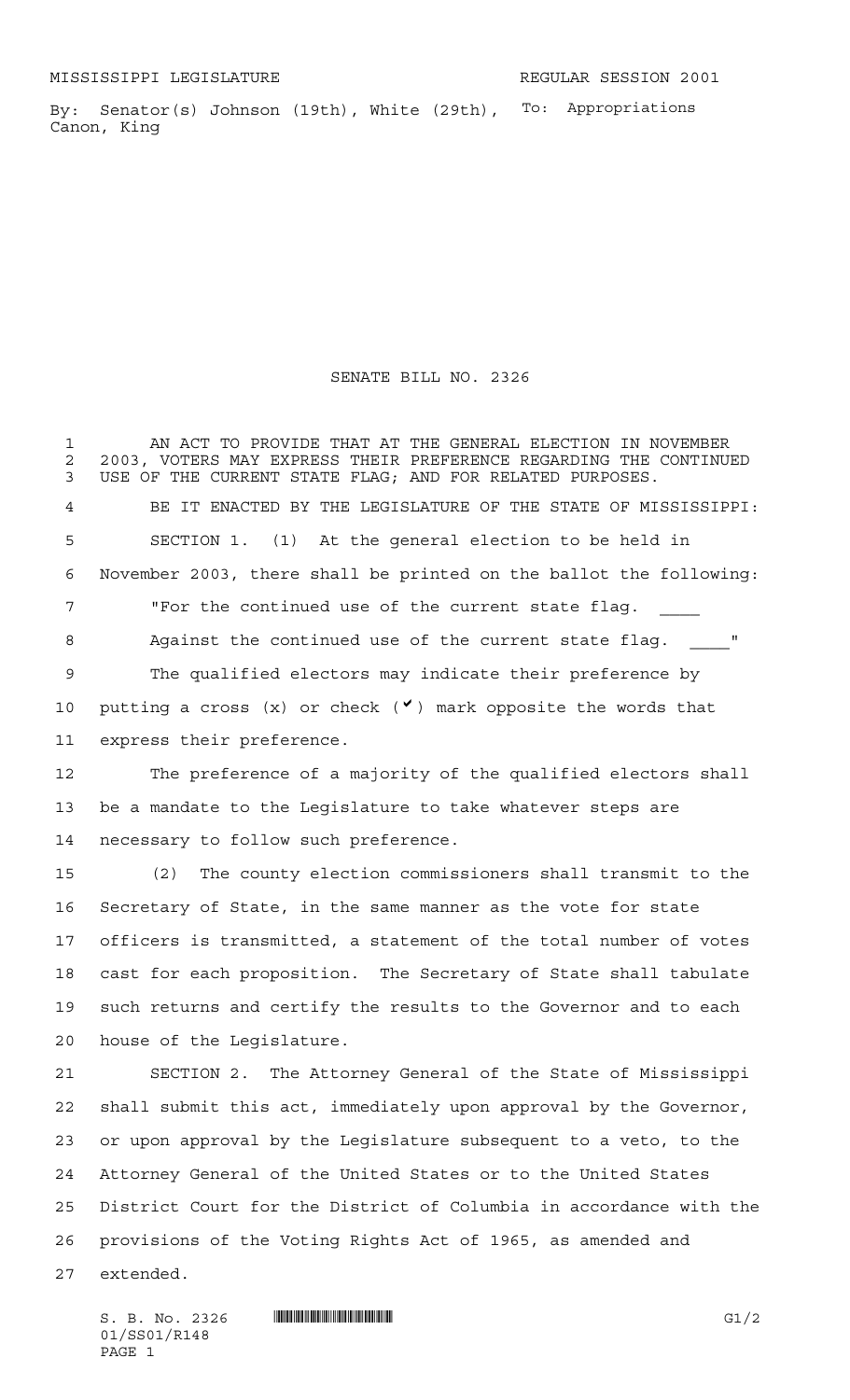By: Senator(s) Johnson (19th), White (29th), To: Appropriations Canon, King

SENATE BILL NO. 2326

 AN ACT TO PROVIDE THAT AT THE GENERAL ELECTION IN NOVEMBER 2 2003, VOTERS MAY EXPRESS THEIR PREFERENCE REGARDING THE CONTINUED<br>3 USE OF THE CURRENT STATE FLAG: AND FOR RELATED PURPOSES. USE OF THE CURRENT STATE FLAG; AND FOR RELATED PURPOSES. BE IT ENACTED BY THE LEGISLATURE OF THE STATE OF MISSISSIPPI: SECTION 1. (1) At the general election to be held in November 2003, there shall be printed on the ballot the following: 7 Ter the continued use of the current state flag. 8 Against the continued use of the current state flag. The qualified electors may indicate their preference by 10 putting a cross  $(x)$  or check  $(v)$  mark opposite the words that express their preference. The preference of a majority of the qualified electors shall be a mandate to the Legislature to take whatever steps are necessary to follow such preference. (2) The county election commissioners shall transmit to the Secretary of State, in the same manner as the vote for state officers is transmitted, a statement of the total number of votes cast for each proposition. The Secretary of State shall tabulate such returns and certify the results to the Governor and to each house of the Legislature. SECTION 2. The Attorney General of the State of Mississippi shall submit this act, immediately upon approval by the Governor, or upon approval by the Legislature subsequent to a veto, to the Attorney General of the United States or to the United States District Court for the District of Columbia in accordance with the provisions of the Voting Rights Act of 1965, as amended and extended.

 $S. B. No. 2326$  **INNIFICANTICALLY EXAMPLE 10** G1/2 01/SS01/R148 PAGE 1